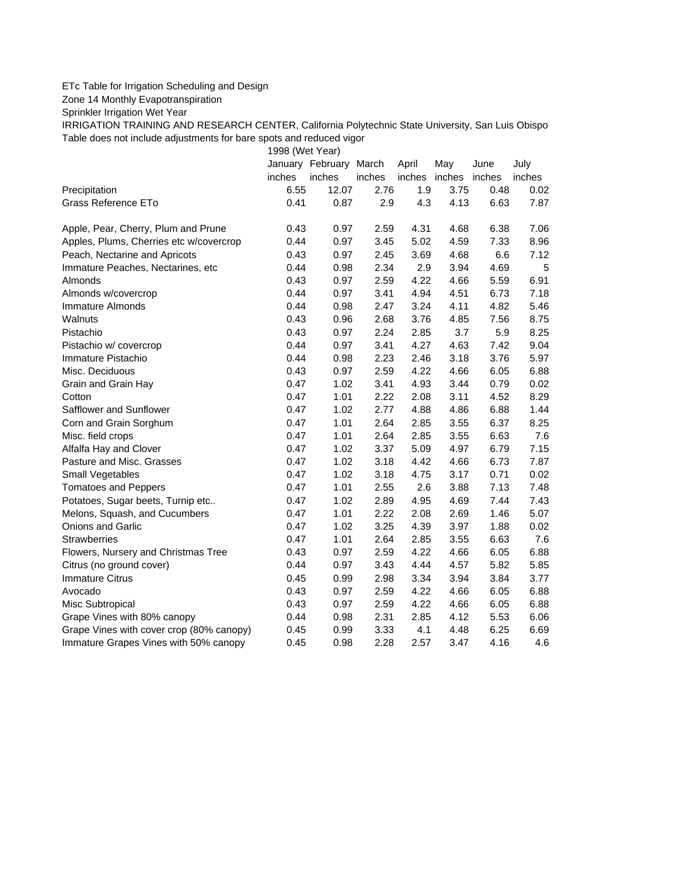## ETc Table for Irrigation Scheduling and Design

Zone 14 Monthly Evapotranspiration

Sprinkler Irrigation Wet Year

IRRIGATION TRAINING AND RESEARCH CENTER, California Polytechnic State University, San Luis Obispo Table does not include adjustments for bare spots and reduced vigor

1998 (Wet Year)

|                                          |        | January February March |        | April  | May    | June   | July   |
|------------------------------------------|--------|------------------------|--------|--------|--------|--------|--------|
|                                          | inches | inches                 | inches | inches | inches | inches | inches |
| Precipitation                            | 6.55   | 12.07                  | 2.76   | 1.9    | 3.75   | 0.48   | 0.02   |
| Grass Reference ETo                      | 0.41   | 0.87                   | 2.9    | 4.3    | 4.13   | 6.63   | 7.87   |
| Apple, Pear, Cherry, Plum and Prune      | 0.43   | 0.97                   | 2.59   | 4.31   | 4.68   | 6.38   | 7.06   |
| Apples, Plums, Cherries etc w/covercrop  | 0.44   | 0.97                   | 3.45   | 5.02   | 4.59   | 7.33   | 8.96   |
| Peach, Nectarine and Apricots            | 0.43   | 0.97                   | 2.45   | 3.69   | 4.68   | 6.6    | 7.12   |
| Immature Peaches, Nectarines, etc        | 0.44   | 0.98                   | 2.34   | 2.9    | 3.94   | 4.69   | 5      |
| Almonds                                  | 0.43   | 0.97                   | 2.59   | 4.22   | 4.66   | 5.59   | 6.91   |
| Almonds w/covercrop                      | 0.44   | 0.97                   | 3.41   | 4.94   | 4.51   | 6.73   | 7.18   |
| Immature Almonds                         | 0.44   | 0.98                   | 2.47   | 3.24   | 4.11   | 4.82   | 5.46   |
| Walnuts                                  | 0.43   | 0.96                   | 2.68   | 3.76   | 4.85   | 7.56   | 8.75   |
| Pistachio                                | 0.43   | 0.97                   | 2.24   | 2.85   | 3.7    | 5.9    | 8.25   |
| Pistachio w/ covercrop                   | 0.44   | 0.97                   | 3.41   | 4.27   | 4.63   | 7.42   | 9.04   |
| Immature Pistachio                       | 0.44   | 0.98                   | 2.23   | 2.46   | 3.18   | 3.76   | 5.97   |
| Misc. Deciduous                          | 0.43   | 0.97                   | 2.59   | 4.22   | 4.66   | 6.05   | 6.88   |
| Grain and Grain Hay                      | 0.47   | 1.02                   | 3.41   | 4.93   | 3.44   | 0.79   | 0.02   |
| Cotton                                   | 0.47   | 1.01                   | 2.22   | 2.08   | 3.11   | 4.52   | 8.29   |
| Safflower and Sunflower                  | 0.47   | 1.02                   | 2.77   | 4.88   | 4.86   | 6.88   | 1.44   |
| Corn and Grain Sorghum                   | 0.47   | 1.01                   | 2.64   | 2.85   | 3.55   | 6.37   | 8.25   |
| Misc. field crops                        | 0.47   | 1.01                   | 2.64   | 2.85   | 3.55   | 6.63   | 7.6    |
| Alfalfa Hay and Clover                   | 0.47   | 1.02                   | 3.37   | 5.09   | 4.97   | 6.79   | 7.15   |
| Pasture and Misc. Grasses                | 0.47   | 1.02                   | 3.18   | 4.42   | 4.66   | 6.73   | 7.87   |
| Small Vegetables                         | 0.47   | 1.02                   | 3.18   | 4.75   | 3.17   | 0.71   | 0.02   |
| <b>Tomatoes and Peppers</b>              | 0.47   | 1.01                   | 2.55   | 2.6    | 3.88   | 7.13   | 7.48   |
| Potatoes, Sugar beets, Turnip etc        | 0.47   | 1.02                   | 2.89   | 4.95   | 4.69   | 7.44   | 7.43   |
| Melons, Squash, and Cucumbers            | 0.47   | 1.01                   | 2.22   | 2.08   | 2.69   | 1.46   | 5.07   |
| Onions and Garlic                        | 0.47   | 1.02                   | 3.25   | 4.39   | 3.97   | 1.88   | 0.02   |
| <b>Strawberries</b>                      | 0.47   | 1.01                   | 2.64   | 2.85   | 3.55   | 6.63   | 7.6    |
| Flowers, Nursery and Christmas Tree      | 0.43   | 0.97                   | 2.59   | 4.22   | 4.66   | 6.05   | 6.88   |
| Citrus (no ground cover)                 | 0.44   | 0.97                   | 3.43   | 4.44   | 4.57   | 5.82   | 5.85   |
| <b>Immature Citrus</b>                   | 0.45   | 0.99                   | 2.98   | 3.34   | 3.94   | 3.84   | 3.77   |
| Avocado                                  | 0.43   | 0.97                   | 2.59   | 4.22   | 4.66   | 6.05   | 6.88   |
| Misc Subtropical                         | 0.43   | 0.97                   | 2.59   | 4.22   | 4.66   | 6.05   | 6.88   |
| Grape Vines with 80% canopy              | 0.44   | 0.98                   | 2.31   | 2.85   | 4.12   | 5.53   | 6.06   |
| Grape Vines with cover crop (80% canopy) | 0.45   | 0.99                   | 3.33   | 4.1    | 4.48   | 6.25   | 6.69   |
| Immature Grapes Vines with 50% canopy    | 0.45   | 0.98                   | 2.28   | 2.57   | 3.47   | 4.16   | 4.6    |